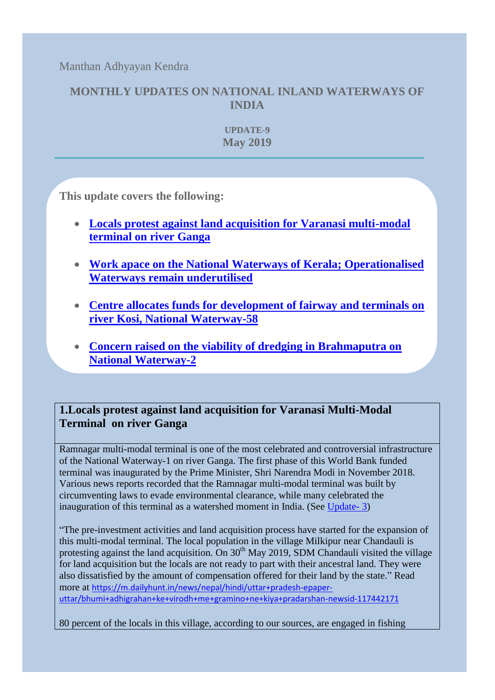Manthan Adhyayan Kendra

# **MONTHLY UPDATES ON NATIONAL INLAND WATERWAYS OF INDIA**

**UPDATE-9 May 2019**

**[This update covers the following:](#page-0-0)**

- **[Locals protest against land acquisition for Varanasi multi-modal](#page-0-0)  [terminal on river Ganga](#page-0-0)**
- **[Work apace on the National Waterways of Kerala; Operationalised](#page-1-0)  [Waterways remain underutilised](#page-1-0)**
- **[Centre allocates funds for development of fairway and terminals on](#page-2-0)  [river Kosi, National Waterway-58](#page-2-0)**
- **[Concern raised on the viability of dredging in Brahmaputra on](#page-3-0)  [National Waterway-2](#page-3-0)**

# <span id="page-0-0"></span>**1.Locals protest against land acquisition for Varanasi Multi-Modal Terminal on river Ganga**

Ramnagar multi-modal terminal is one of the most celebrated and controversial infrastructure of the National Waterway-1 on river Ganga. The first phase of this World Bank funded terminal was inaugurated by the Prime Minister, Shri Narendra Modi in November 2018. Various news reports recorded that the Ramnagar multi-modal terminal was built by circumventing laws to evade environmental clearance, while many celebrated the inauguration of this terminal as a watershed moment in India. (See [Update-](https://www.manthan-india.org/wp-content/uploads/2019/01/November-2018-Monthly-update.pdf) 3)

"The pre-investment activities and land acquisition process have started for the expansion of this multi-modal terminal. The local population in the village Milkipur near Chandauli is protesting against the land acquisition. On  $30<sup>th</sup>$  May 2019, SDM Chandauli visited the village for land acquisition but the locals are not ready to part with their ancestral land. They were also dissatisfied by the amount of compensation offered for their land by the state." Read more at [https://m.dailyhunt.in/news/nepal/hindi/uttar+pradesh-epaper](https://m.dailyhunt.in/news/nepal/hindi/uttar+pradesh-epaper-uttar/bhumi+adhigrahan+ke+virodh+me+gramino+ne+kiya+pradarshan-newsid-117442171)[uttar/bhumi+adhigrahan+ke+virodh+me+gramino+ne+kiya+pradarshan-newsid-117442171](https://m.dailyhunt.in/news/nepal/hindi/uttar+pradesh-epaper-uttar/bhumi+adhigrahan+ke+virodh+me+gramino+ne+kiya+pradarshan-newsid-117442171)

80 percent of the locals in this village, according to our sources, are engaged in fishing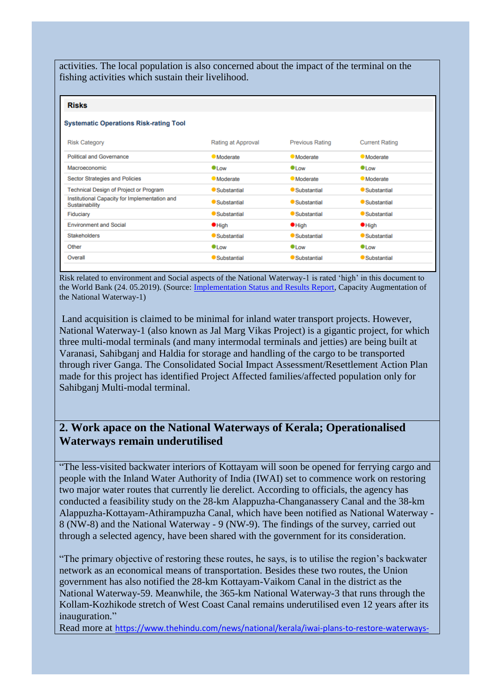activities. The local population is also concerned about the impact of the terminal on the fishing activities which sustain their livelihood.

### **Risks**

#### **Systematic Operations Risk-rating Tool**

| <b>Risk Category</b>                                            | Rating at Approval | <b>Previous Rating</b> | <b>Current Rating</b> |
|-----------------------------------------------------------------|--------------------|------------------------|-----------------------|
| Political and Governance                                        | <b>Moderate</b>    | <b>Moderate</b>        | <b>Moderate</b>       |
| Macroeconomic                                                   | $\bullet$ Low      | $\bullet$ Low          | $\bullet$ Low         |
| Sector Strategies and Policies                                  | <b>Moderate</b>    | <b>Moderate</b>        | <b>Moderate</b>       |
| Technical Design of Project or Program                          | Substantial        | Substantial            | Substantial           |
| Institutional Capacity for Implementation and<br>Sustainability | Substantial        | Substantial            | Substantial           |
| Fiduciary                                                       | <b>Substantial</b> | Substantial            | ● Substantial         |
| <b>Environment and Social</b>                                   | $\bullet$ High     | $\bullet$ High         | $\bullet$ High        |
| <b>Stakeholders</b>                                             | Substantial        | Substantial            | Substantial           |
| Other                                                           | $\bullet$ Low      | $\bullet$ l ow         | $\bullet$ l ow        |
| Overall                                                         | Substantial        | <b>Substantial</b>     | <b>Substantial</b>    |

Risk related to environment and Social aspects of the National Waterway-1 is rated 'high' in this document to the World Bank (24. 05.2019). (Source: [Implementation Status and Results Report,](http://documents.worldbank.org/curated/en/652421558712898289/pdf/Disclosable-Version-of-the-ISR-Capacity-Augmentation-of-the-National-Waterway-1-JAL-MARG-VIKAS-Project-P148775-Sequence-No-04.pdf) Capacity Augmentation of the National Waterway-1)

Land acquisition is claimed to be minimal for inland water transport projects. However, National Waterway-1 (also known as Jal Marg Vikas Project) is a gigantic project, for which three multi-modal terminals (and many intermodal terminals and jetties) are being built at Varanasi, Sahibganj and Haldia for storage and handling of the cargo to be transported through river Ganga. The Consolidated Social Impact Assessment/Resettlement Action Plan made for this project has identified Project Affected families/affected population only for Sahibganj Multi-modal terminal.

### <span id="page-1-0"></span>**2. Work apace on the National Waterways of Kerala; Operationalised Waterways remain underutilised**

"The less-visited backwater interiors of Kottayam will soon be opened for ferrying cargo and people with the Inland Water Authority of India (IWAI) set to commence work on restoring two major water routes that currently lie derelict. According to officials, the agency has conducted a feasibility study on the 28-km Alappuzha-Changanassery Canal and the 38-km Alappuzha-Kottayam-Athirampuzha Canal, which have been notified as National Waterway - 8 (NW-8) and the National Waterway - 9 (NW-9). The findings of the survey, carried out through a selected agency, have been shared with the government for its consideration.

"The primary objective of restoring these routes, he says, is to utilise the region's backwater network as an economical means of transportation. Besides these two routes, the Union government has also notified the 28-km Kottayam-Vaikom Canal in the district as the National Waterway-59. Meanwhile, the 365-km National Waterway-3 that runs through the Kollam-Kozhikode stretch of West Coast Canal remains underutilised even 12 years after its inauguration."

Read more at [https://www.thehindu.com/news/national/kerala/iwai-plans-to-restore-waterways-](https://www.thehindu.com/news/national/kerala/iwai-plans-to-restore-waterways-in-kottayam/article27256005.ece)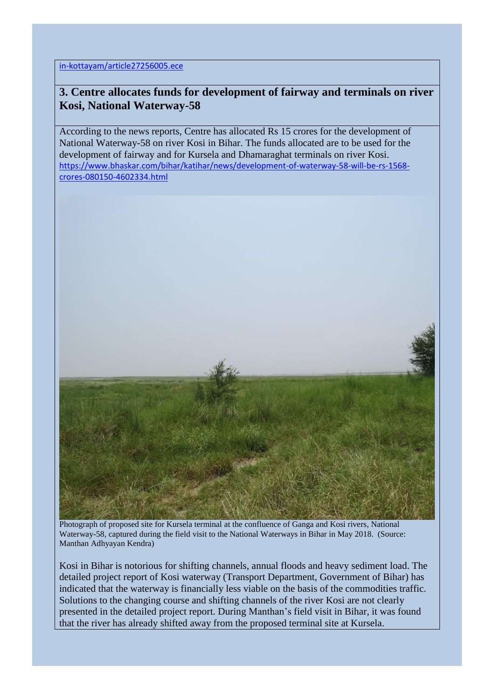in-kottayam/article27256005.ece

# <span id="page-2-0"></span>**3. Centre allocates funds for development of fairway and terminals on river Kosi, National Waterway-58**

According to the news reports, Centre has allocated Rs 15 crores for the development of National Waterway-58 on river Kosi in Bihar. The funds allocated are to be used for the development of fairway and for Kursela and Dhamaraghat terminals on river Kosi. [https://www.bhaskar.com/bihar/katihar/news/development-of-waterway-58-will-be-rs-1568](https://www.bhaskar.com/bihar/katihar/news/development-of-waterway-58-will-be-rs-1568-crores-080150-4602334.html) [crores-080150-4602334.html](https://www.bhaskar.com/bihar/katihar/news/development-of-waterway-58-will-be-rs-1568-crores-080150-4602334.html)



Photograph of proposed site for Kursela terminal at the confluence of Ganga and Kosi rivers, National Waterway-58, captured during the field visit to the National Waterways in Bihar in May 2018. (Source: Manthan Adhyayan Kendra)

Kosi in Bihar is notorious for shifting channels, annual floods and heavy sediment load. The detailed project report of Kosi waterway (Transport Department, Government of Bihar) has indicated that the waterway is financially less viable on the basis of the commodities traffic. Solutions to the changing course and shifting channels of the river Kosi are not clearly presented in the detailed project report. During Manthan's field visit in Bihar, it was found that the river has already shifted away from the proposed terminal site at Kursela.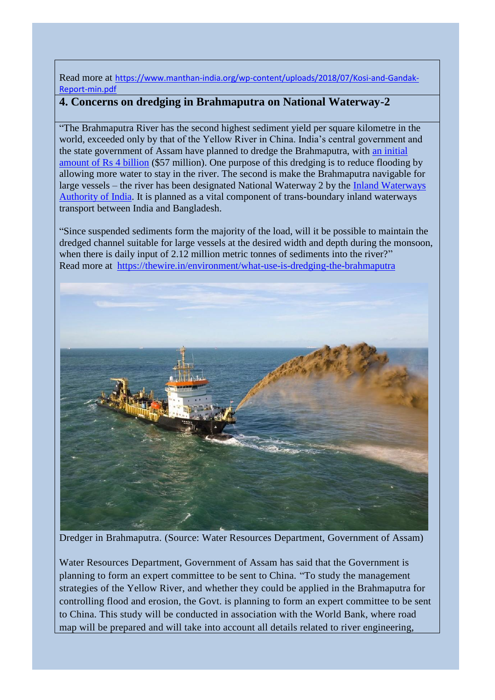Read more at [https://www.manthan-india.org/wp-content/uploads/2018/07/Kosi-and-Gandak-](https://www.manthan-india.org/wp-content/uploads/2018/07/Kosi-and-Gandak-Report-min.pdf)[Report-min.pdf](https://www.manthan-india.org/wp-content/uploads/2018/07/Kosi-and-Gandak-Report-min.pdf)

# <span id="page-3-0"></span>**4. Concerns on dredging in Brahmaputra on National Waterway-2**

"The Brahmaputra River has the second highest sediment yield per square kilometre in the world, exceeded only by that of the Yellow River in China. India's central government and the state government of Assam have planned to dredge the Brahmaputra, with [an initial](https://economictimes.indiatimes.com/news/politics-and-nation/assam-congress-objects-to-dredging-brahmaputra/articleshow/60525876.cms)  [amount of Rs 4 billion](https://economictimes.indiatimes.com/news/politics-and-nation/assam-congress-objects-to-dredging-brahmaputra/articleshow/60525876.cms) (\$57 million). One purpose of this dredging is to reduce flooding by allowing more water to stay in the river. The second is make the Brahmaputra navigable for large vessels – the river has been designated National Waterway 2 by the Inland Waterways [Authority of India.](http://iwai.npglobal.in/) It is planned as a vital component of trans-boundary inland waterways transport between India and Bangladesh.

"Since suspended sediments form the majority of the load, will it be possible to maintain the dredged channel suitable for large vessels at the desired width and depth during the monsoon, when there is daily input of 2.12 million metric tonnes of sediments into the river?" Read more at <https://thewire.in/environment/what-use-is-dredging-the-brahmaputra>



Dredger in Brahmaputra. (Source: Water Resources Department, Government of Assam)

Water Resources Department, Government of Assam has said that the Government is planning to form an expert committee to be sent to China. "To study the management strategies of the Yellow River, and whether they could be applied in the Brahmaputra for controlling flood and erosion, the Govt. is planning to form an expert committee to be sent to China. This study will be conducted in association with the World Bank, where road map will be prepared and will take into account all details related to river engineering,